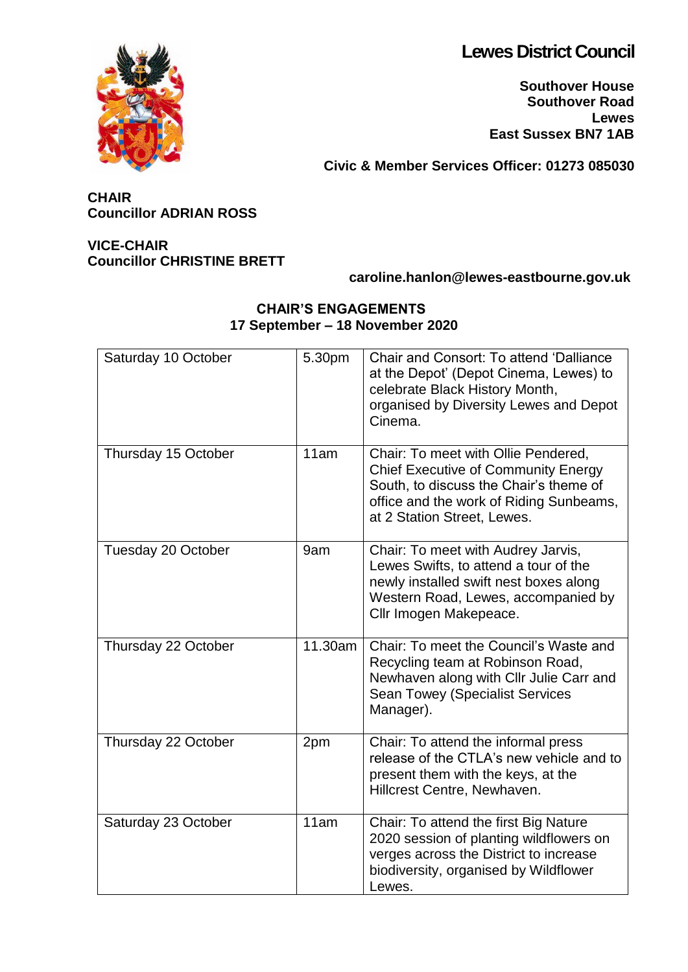# **Lewes District Council**

**Southover House Southover Road Lewes East Sussex BN7 1AB**

**Civic & Member Services Officer: 01273 085030**

# **CHAIR Councillor ADRIAN ROSS**

# **VICE-CHAIR Councillor CHRISTINE BRETT**

# **caroline.hanlon@lewes-eastbourne.gov.uk**

#### **CHAIR'S ENGAGEMENTS 17 September – 18 November 2020**

| Saturday 10 October | 5.30pm  | Chair and Consort: To attend 'Dalliance<br>at the Depot' (Depot Cinema, Lewes) to<br>celebrate Black History Month,<br>organised by Diversity Lewes and Depot<br>Cinema.                              |
|---------------------|---------|-------------------------------------------------------------------------------------------------------------------------------------------------------------------------------------------------------|
| Thursday 15 October | 11am    | Chair: To meet with Ollie Pendered,<br><b>Chief Executive of Community Energy</b><br>South, to discuss the Chair's theme of<br>office and the work of Riding Sunbeams,<br>at 2 Station Street, Lewes. |
| Tuesday 20 October  | 9am     | Chair: To meet with Audrey Jarvis,<br>Lewes Swifts, to attend a tour of the<br>newly installed swift nest boxes along<br>Western Road, Lewes, accompanied by<br>Cllr Imogen Makepeace.                |
| Thursday 22 October | 11.30am | Chair: To meet the Council's Waste and<br>Recycling team at Robinson Road,<br>Newhaven along with Cllr Julie Carr and<br><b>Sean Towey (Specialist Services</b><br>Manager).                          |
| Thursday 22 October | 2pm     | Chair: To attend the informal press<br>release of the CTLA's new vehicle and to<br>present them with the keys, at the<br>Hillcrest Centre, Newhaven.                                                  |
| Saturday 23 October | 11am    | Chair: To attend the first Big Nature<br>2020 session of planting wildflowers on<br>verges across the District to increase<br>biodiversity, organised by Wildflower<br>Lewes.                         |